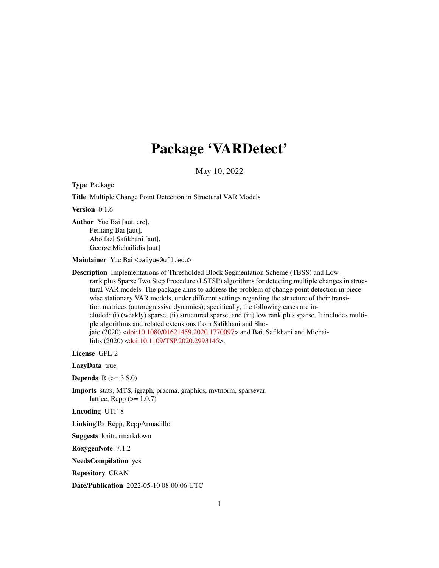## Package 'VARDetect'

May 10, 2022

Type Package

Title Multiple Change Point Detection in Structural VAR Models

Version 0.1.6

Author Yue Bai [aut, cre], Peiliang Bai [aut], Abolfazl Safikhani [aut], George Michailidis [aut]

Maintainer Yue Bai <br/>baiyue@ufl.edu>

Description Implementations of Thresholded Block Segmentation Scheme (TBSS) and Lowrank plus Sparse Two Step Procedure (LSTSP) algorithms for detecting multiple changes in structural VAR models. The package aims to address the problem of change point detection in piecewise stationary VAR models, under different settings regarding the structure of their transition matrices (autoregressive dynamics); specifically, the following cases are included: (i) (weakly) sparse, (ii) structured sparse, and (iii) low rank plus sparse. It includes multiple algorithms and related extensions from Safikhani and Shojaie (2020) [<doi:10.1080/01621459.2020.1770097>](https://doi.org/10.1080/01621459.2020.1770097) and Bai, Safikhani and Michailidis (2020) [<doi:10.1109/TSP.2020.2993145>](https://doi.org/10.1109/TSP.2020.2993145).

License GPL-2

LazyData true

**Depends**  $R (= 3.5.0)$ 

Imports stats, MTS, igraph, pracma, graphics, mvtnorm, sparsevar, lattice,  $\text{Rcpp} (>1.0.7)$ 

Encoding UTF-8

LinkingTo Rcpp, RcppArmadillo

Suggests knitr, rmarkdown

RoxygenNote 7.1.2

NeedsCompilation yes

Repository CRAN

Date/Publication 2022-05-10 08:00:06 UTC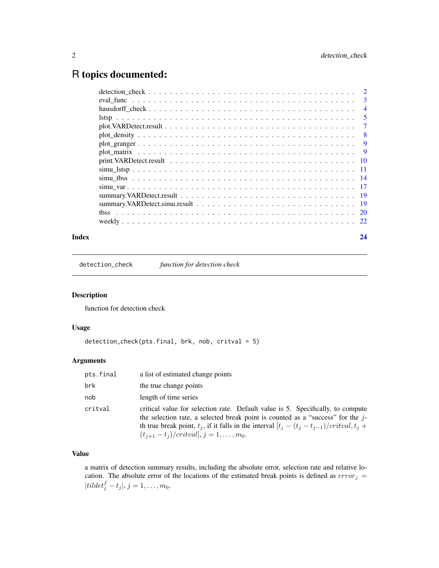## <span id="page-1-0"></span>R topics documented:

| 3              |
|----------------|
| $\overline{4}$ |
| 5              |
| 7              |
| -8             |
| - 9            |
| - 9            |
|                |
| - 11           |
|                |
|                |
|                |
|                |
|                |
|                |
|                |

#### **Index** [24](#page-23-0)

detection\_check *function for detection check*

#### Description

function for detection check

#### Usage

```
detection_check(pts.final, brk, nob, critval = 5)
```
#### Arguments

| pts.final | a list of estimated change points                                                                                                                                                                                                                                                                                          |
|-----------|----------------------------------------------------------------------------------------------------------------------------------------------------------------------------------------------------------------------------------------------------------------------------------------------------------------------------|
| brk       | the true change points                                                                                                                                                                                                                                                                                                     |
| nob       | length of time series                                                                                                                                                                                                                                                                                                      |
| critval   | critical value for selection rate. Default value is 5. Specifically, to compute<br>the selection rate, a selected break point is counted as a "success" for the $j$ -<br>th true break point, $t_i$ , if it falls in the interval $[t_i - (t_i - t_{i-1})/critical, t_i +$<br>$(t_{j+1} - t_j)/critval$ , $j = 1, , m_0$ . |

#### Value

a matrix of detection summary results, including the absolute error, selection rate and relative location. The absolute error of the locations of the estimated break points is defined as  $error_j$  = |til $det_j^f - t_j |, j = 1, \ldots, m_0.$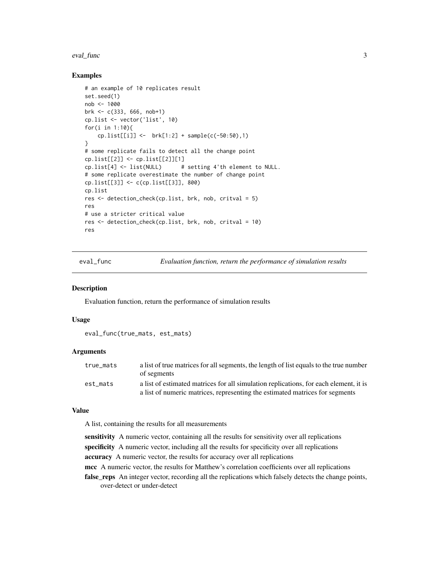#### <span id="page-2-0"></span>eval\_func 3

#### Examples

```
# an example of 10 replicates result
set.seed(1)
nob <- 1000
brk \leq -c(333, 666, nob+1)cp.list <- vector('list', 10)
for(i in 1:10){
    cp.list[[i]] \leftarrow brk[1:2] + sample(c(-50:50),1)}
# some replicate fails to detect all the change point
cp.list[[2]] <- cp.list[[2]][1]
cp.list[4] <- list(NULL) # setting 4'th element to NULL.
# some replicate overestimate the number of change point
cp.list[[3]] <- c(cp.list[[3]], 800)
cp.list
res <- detection_check(cp.list, brk, nob, critval = 5)
res
# use a stricter critical value
res <- detection_check(cp.list, brk, nob, critval = 10)
res
```
eval\_func *Evaluation function, return the performance of simulation results*

#### **Description**

Evaluation function, return the performance of simulation results

#### Usage

eval\_func(true\_mats, est\_mats)

#### Arguments

| true mats | a list of true matrices for all segments, the length of list equals to the true number |
|-----------|----------------------------------------------------------------------------------------|
|           | of segments                                                                            |
| est mats  | a list of estimated matrices for all simulation replications, for each element, it is  |
|           | a list of numeric matrices, representing the estimated matrices for segments           |

#### Value

A list, containing the results for all measurements

sensitivity A numeric vector, containing all the results for sensitivity over all replications specificity A numeric vector, including all the results for specificity over all replications

accuracy A numeric vector, the results for accuracy over all replications

mcc A numeric vector, the results for Matthew's correlation coefficients over all replications

false\_reps An integer vector, recording all the replications which falsely detects the change points, over-detect or under-detect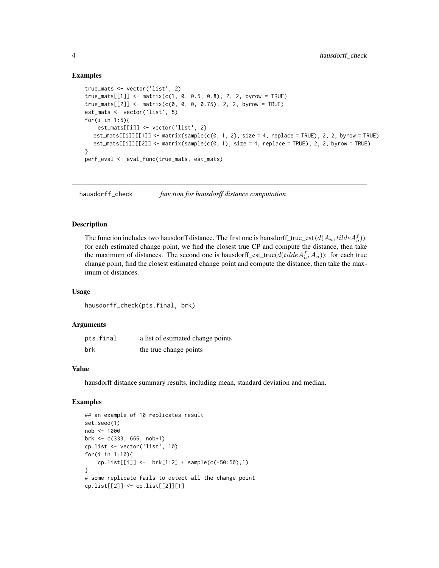#### Examples

```
true_mats <- vector('list', 2)
true\_mats[[1]] \leq \text{matrix}(c(1, 0, 0.5, 0.8), 2, 2, byrow = TRUE)true\_mats[[2]] \leq \text{matrix}(c(0, 0, 0, 0.75), 2, 2, byrow = TRUE)est_mats <- vector('list', 5)
for(i in 1:5){
    est_mats[[i]] <- vector('list', 2)
   est\_mats[[i]][[1]] \leq -matrix(\text{sample}(c(0, 1, 2), size = 4, replace = TRUE)), 2, 2, byrow = TRUE)est\_mats[[i]][[2]] \le -matrix(sampale(c(\emptyset, 1), size = 4, replace = TRUE), 2, 2, byrow = TRUE)}
perf_eval <- eval_func(true_mats, est_mats)
```
hausdorff\_check *function for hausdorff distance computation*

#### Description

The function includes two hausdorff distance. The first one is hausdorff\_true\_est  $(d(A_n, tilde A_n^f))$ : for each estimated change point, we find the closest true CP and compute the distance, then take the maximum of distances. The second one is hausdorff\_est\_true( $d(tildeA_n^f, A_n)$ ): for each true change point, find the closest estimated change point and compute the distance, then take the maximum of distances.

#### Usage

hausdorff\_check(pts.final, brk)

#### Arguments

| pts.final | a list of estimated change points |
|-----------|-----------------------------------|
| brk       | the true change points            |

#### Value

hausdorff distance summary results, including mean, standard deviation and median.

```
## an example of 10 replicates result
set.seed(1)
nob <- 1000
brk <- c(333, 666, nob+1)
cp.list <- vector('list', 10)
for(i in 1:10){
    cp.list[[i]] <- brk[1:2] + sample(c(-50:50),1)
}
# some replicate fails to detect all the change point
cp.list[[2]] <- cp.list[[2]][1]
```
<span id="page-3-0"></span>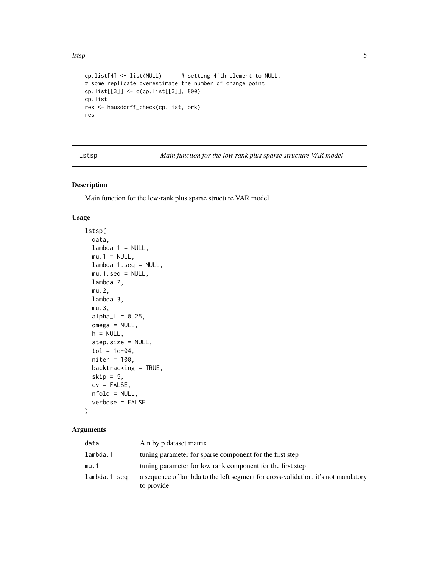```
cp.list[4] <- list(NULL) # setting 4'th element to NULL.
# some replicate overestimate the number of change point
cp.list[[3]] <- c(cp.list[[3]], 800)
cp.list
res <- hausdorff_check(cp.list, brk)
res
```
lstsp *Main function for the low rank plus sparse structure VAR model*

#### Description

Main function for the low-rank plus sparse structure VAR model

#### Usage

```
lstsp(
  data,
  lambda.1 = NULL,mu.1 = NULL,lambda.1.seq = NULL,
  mu.1.\text{seq} = NULL,lambda.2,
  mu.2,
  lambda.3,
  mu.3,
  alpha_L = 0.25,
  omega = NULL,
  h = NULL,step.size = NULL,
  tol = 1e-04,niter = 100,
  backtracking = TRUE,
  skip = 5,cv = FALSE,nfold = NULL,
  verbose = FALSE
)
```

| data         | A n by p dataset matrix                                                                         |
|--------------|-------------------------------------------------------------------------------------------------|
| lambda.1     | tuning parameter for sparse component for the first step                                        |
| mu.1         | tuning parameter for low rank component for the first step                                      |
| lambda.1.seg | a sequence of lambda to the left segment for cross-validation, it's not mandatory<br>to provide |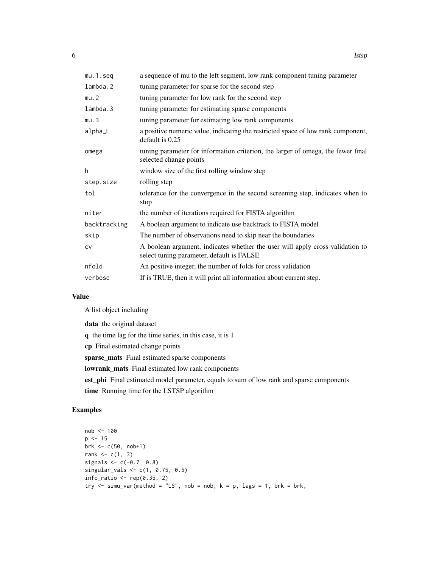| $mu.1.\n$    | a sequence of mu to the left segment, low rank component tuning parameter                                                  |
|--------------|----------------------------------------------------------------------------------------------------------------------------|
| lambda.2     | tuning parameter for sparse for the second step                                                                            |
| mu.2         | tuning parameter for low rank for the second step                                                                          |
| lambda.3     | tuning parameter for estimating sparse components                                                                          |
| mu.3         | tuning parameter for estimating low rank components                                                                        |
| alpha_L      | a positive numeric value, indicating the restricted space of low rank component,<br>default is 0.25                        |
| omega        | tuning parameter for information criterion, the larger of omega, the fewer final<br>selected change points                 |
| h            | window size of the first rolling window step                                                                               |
| step.size    | rolling step                                                                                                               |
| tol          | tolerance for the convergence in the second screening step, indicates when to<br>stop                                      |
| niter        | the number of iterations required for FISTA algorithm                                                                      |
| backtracking | A boolean argument to indicate use backtrack to FISTA model                                                                |
| skip         | The number of observations need to skip near the boundaries                                                                |
| <b>CV</b>    | A boolean argument, indicates whether the user will apply cross validation to<br>select tuning parameter, default is FALSE |
| nfold        | An positive integer, the number of folds for cross validation                                                              |
| verbose      | If is TRUE, then it will print all information about current step.                                                         |

A list object including

data the original dataset

q the time lag for the time series, in this case, it is 1

cp Final estimated change points

sparse\_mats Final estimated sparse components

lowrank\_mats Final estimated low rank components

est\_phi Final estimated model parameter, equals to sum of low rank and sparse components

time Running time for the LSTSP algorithm

```
nob <- 100
p \le -15brk <- c(50, nob+1)
rank \leq c(1, 3)signals \leq c(-0.7, 0.8)singular_vals <- c(1, 0.75, 0.5)
info\_ratio \leftarrow rep(0.35, 2)try \le simu_var(method = "LS", nob = nob, k = p, lags = 1, brk = brk,
```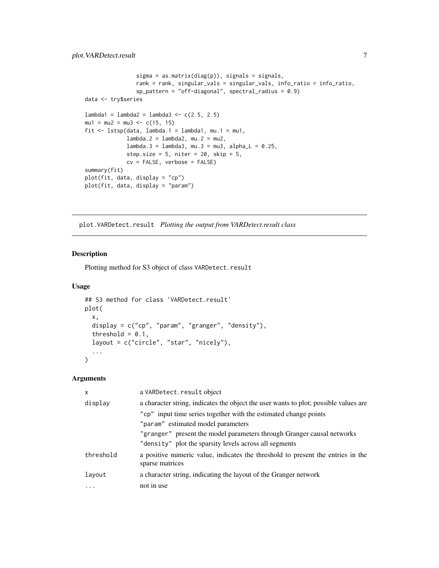```
sigma = as.matrix(diag(p)), signals = signals,
                rank = rank, singular_vals = singular_vals, info_ratio = info_ratio,
                sp\_pattern = "off-diagonal", spectral\_radius = 0.9)data <- try$series
lambda1 = lambda2 = lambda3 <- c(2.5, 2.5)mu1 = mu2 = mu3 \le c(15, 15)fit \le lstsp(data, lambda.1 = lambda1, mu.1 = mu1,
             lambda.2 = lambda2, mu.2 = mu2,lambda.3 = lambda3, mu.3 = mu3, alphaL = 0.25,
             step.size = 5, niter = 20, skip = 5,
             cv = FALSE, verbose = FALSE)
summary(fit)
plot(fit, data, display = "cp")
plot(fit, data, display = "param")
```
plot.VARDetect.result *Plotting the output from VARDetect.result class*

#### Description

Plotting method for S3 object of class VARDetect.result

#### Usage

```
## S3 method for class 'VARDetect.result'
plot(
  x,
  display = c("cp", "param", "granger", "density"),
  threshold = 0.1,
  layout = c("circle", "star", "nicely"),
  ...
)
```

| x         | a VARDetect.result object                                                                          |
|-----------|----------------------------------------------------------------------------------------------------|
| display   | a character string, indicates the object the user wants to plot; possible values are               |
|           | "cp" input time series together with the estimated change points                                   |
|           | "param" estimated model parameters                                                                 |
|           | "granger" present the model parameters through Granger causal networks                             |
|           | "density" plot the sparsity levels across all segments                                             |
| threshold | a positive numeric value, indicates the threshold to present the entries in the<br>sparse matrices |
| layout    | a character string, indicating the layout of the Granger network                                   |
| $\cdots$  | not in use                                                                                         |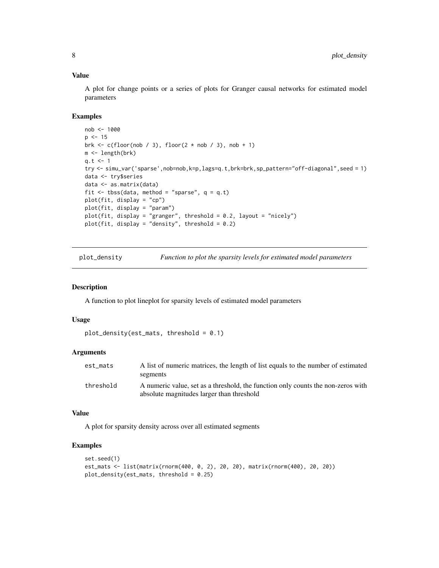A plot for change points or a series of plots for Granger causal networks for estimated model parameters

#### Examples

```
nob <- 1000
p \le -15brk \leq c(floor(nob / 3), floor(2 \star nob / 3), nob + 1)
m <- length(brk)
q.t < -1try <- simu_var('sparse',nob=nob,k=p,lags=q.t,brk=brk,sp_pattern="off-diagonal",seed = 1)
data <- try$series
data <- as.matrix(data)
fit \leq tbss(data, method = "sparse", q = q.t)
plot(fit, display = "cp")
plot(fit, display = "param")
plot(fit, display = "granger", threshold = 0.2, layout = "nicely")
plot(fit, display = "density", threshold = 0.2)
```
plot\_density *Function to plot the sparsity levels for estimated model parameters*

#### Description

A function to plot lineplot for sparsity levels of estimated model parameters

#### Usage

```
plot_density(est_mats, threshold = 0.1)
```
#### Arguments

| est mats  | A list of numeric matrices, the length of list equals to the number of estimated<br>segments                                  |
|-----------|-------------------------------------------------------------------------------------------------------------------------------|
| threshold | A numeric value, set as a threshold, the function only counts the non-zeros with<br>absolute magnitudes larger than threshold |

#### Value

A plot for sparsity density across over all estimated segments

```
set.seed(1)
est_mats <- list(matrix(rnorm(400, 0, 2), 20, 20), matrix(rnorm(400), 20, 20))
plot_density(est_mats, threshold = 0.25)
```
<span id="page-7-0"></span>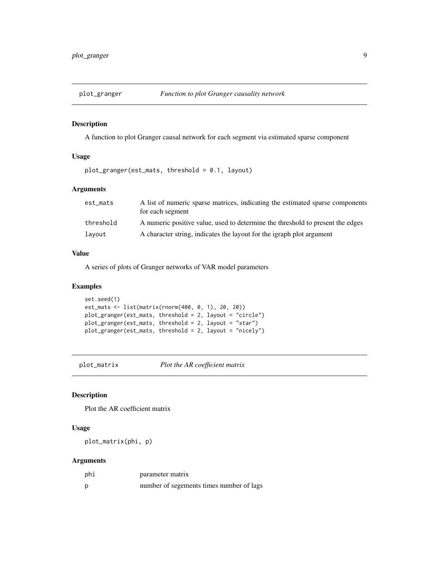<span id="page-8-0"></span>

#### Description

A function to plot Granger causal network for each segment via estimated sparse component

#### Usage

```
plot_granger(est_mats, threshold = 0.1, layout)
```
#### Arguments

| est_mats  | A list of numeric sparse matrices, indicating the estimated sparse components<br>for each segment |
|-----------|---------------------------------------------------------------------------------------------------|
| threshold | A numeric positive value, used to determine the threshold to present the edges                    |
| layout    | A character string, indicates the layout for the igraph plot argument                             |

#### Value

A series of plots of Granger networks of VAR model parameters

#### Examples

```
set.seed(1)
est_mats <- list(matrix(rnorm(400, 0, 1), 20, 20))
plot_granger(est_mats, threshold = 2, layout = "circle")
plot_granger(est_mats, threshold = 2, layout = "star")
plot_granger(est_mats, threshold = 2, layout = "nicely")
```
plot\_matrix *Plot the AR coefficient matrix*

#### Description

Plot the AR coefficient matrix

#### Usage

plot\_matrix(phi, p)

| phi | parameter matrix                         |
|-----|------------------------------------------|
| D   | number of segements times number of lags |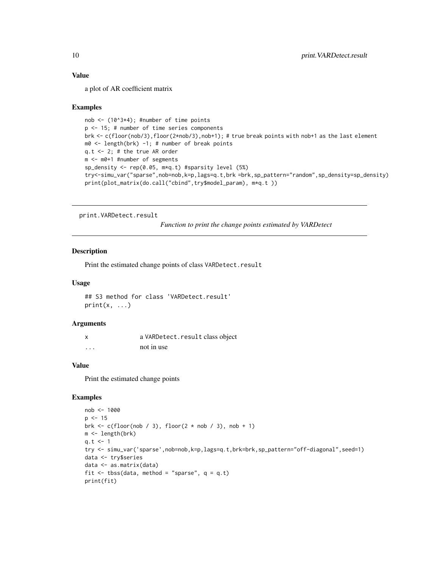a plot of AR coefficient matrix

#### Examples

```
nob \leq (10^3*4); #number of time points
p <- 15; # number of time series components
brk <- c(floor(nob/3),floor(2*nob/3),nob+1); # true break points with nob+1 as the last element
m0 \leq -\text{length}(brk) -1; # number of break points
q.t < -2; # the true AR order
m <- m0+1 #number of segments
sp_density <- rep(0.05, m*q.t) #sparsity level (5%)
try<-simu_var("sparse",nob=nob,k=p,lags=q.t,brk =brk,sp_pattern="random",sp_density=sp_density)
print(plot_matrix(do.call("cbind",try$model_param), m*q.t ))
```
print.VARDetect.result

*Function to print the change points estimated by VARDetect*

#### Description

Print the estimated change points of class VARDetect.result

#### Usage

## S3 method for class 'VARDetect.result'  $print(x, \ldots)$ 

#### Arguments

| X        | a VARDetect.result class object |
|----------|---------------------------------|
| $\cdots$ | not in use                      |

#### Value

Print the estimated change points

```
nob <- 1000
p \le -15brk \leq c(floor(nob / 3), floor(2 \star nob / 3), nob + 1)
m <- length(brk)
q.t < -1try <- simu_var('sparse',nob=nob,k=p,lags=q.t,brk=brk,sp_pattern="off-diagonal",seed=1)
data <- try$series
data <- as.matrix(data)
fit \leq tbss(data, method = "sparse", q = q.t)
print(fit)
```
<span id="page-9-0"></span>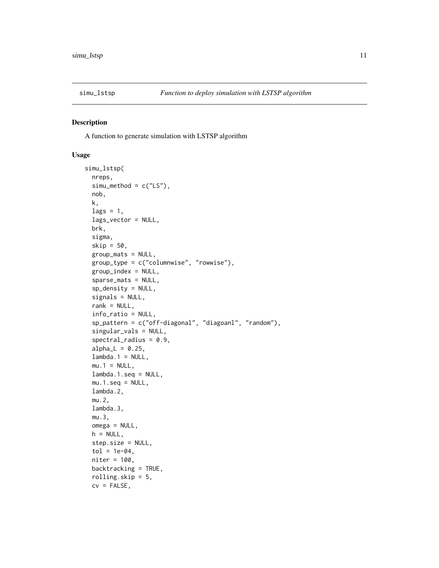<span id="page-10-0"></span>

#### Description

A function to generate simulation with LSTSP algorithm

#### Usage

```
simu_lstsp(
 nreps,
  sim\_method = c("LS"),
 nob,
 k,
  lags = 1,lags_vector = NULL,
 brk,
  sigma,
  skip = 50,
  group_mats = NULL,
  group_type = c("columnwise", "rowwise"),
 group_index = NULL,
  sparse_mats = NULL,
  sp_density = NULL,
  signals = NULL,
  rank = NULL,info_ratio = NULL,
  sp_pattern = c("off-diagonal", "diagoanl", "random"),
  singular_vals = NULL,
  spectral_radius = 0.9,alpha_L = 0.25,
  lambda.1 = NULL,mu.1 = NULL,lambda.1.seq = NULL,
 mu.1.\text{seq} = NULL,lambda.2,
 mu.2,
  lambda.3,
 mu.3,
 omega = NULL,
 h = NULL,step.size = NULL,
  tol = 1e-04,niter = 100,
 backtracking = TRUE,
  rolling.skip = 5,
  cv = FALSE,
```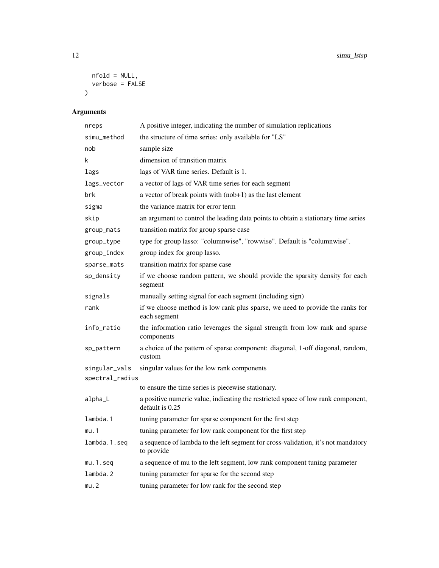```
nfold = NULL,
   verbose = FALSE
\overline{)}
```

| nreps                            | A positive integer, indicating the number of simulation replications                                |
|----------------------------------|-----------------------------------------------------------------------------------------------------|
| simu_method                      | the structure of time series: only available for "LS"                                               |
| nob                              | sample size                                                                                         |
| k                                | dimension of transition matrix                                                                      |
| lags                             | lags of VAR time series. Default is 1.                                                              |
| lags_vector                      | a vector of lags of VAR time series for each segment                                                |
| brk                              | a vector of break points with $(nob+1)$ as the last element                                         |
| sigma                            | the variance matrix for error term                                                                  |
| skip                             | an argument to control the leading data points to obtain a stationary time series                   |
| group_mats                       | transition matrix for group sparse case                                                             |
| group_type                       | type for group lasso: "columnwise", "rowwise". Default is "columnwise".                             |
| group_index                      | group index for group lasso.                                                                        |
| sparse_mats                      | transition matrix for sparse case                                                                   |
| sp_density                       | if we choose random pattern, we should provide the sparsity density for each<br>segment             |
| signals                          | manually setting signal for each segment (including sign)                                           |
| rank                             | if we choose method is low rank plus sparse, we need to provide the ranks for<br>each segment       |
| info_ratio                       | the information ratio leverages the signal strength from low rank and sparse<br>components          |
| sp_pattern                       | a choice of the pattern of sparse component: diagonal, 1-off diagonal, random,<br>custom            |
| singular_vals<br>spectral_radius | singular values for the low rank components                                                         |
|                                  | to ensure the time series is piecewise stationary.                                                  |
| alpha_L                          | a positive numeric value, indicating the restricted space of low rank component,<br>default is 0.25 |
| lambda.1                         | tuning parameter for sparse component for the first step                                            |
| mu.1                             | tuning parameter for low rank component for the first step                                          |
| lambda.1.seq                     | a sequence of lambda to the left segment for cross-validation, it's not mandatory<br>to provide     |
| $mu.1.\n$                        | a sequence of mu to the left segment, low rank component tuning parameter                           |
| lambda.2                         | tuning parameter for sparse for the second step                                                     |
| mu.2                             | tuning parameter for low rank for the second step                                                   |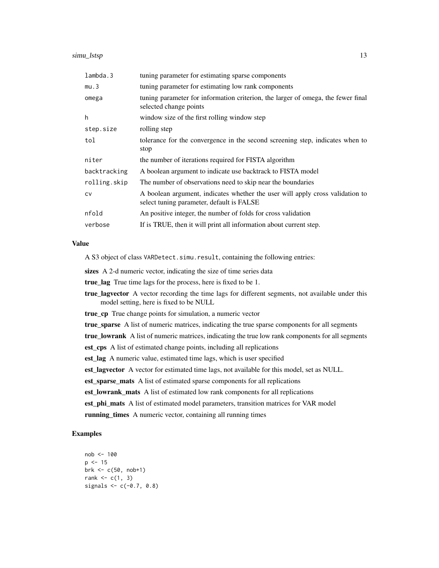| lambda.3     | tuning parameter for estimating sparse components                                                                          |
|--------------|----------------------------------------------------------------------------------------------------------------------------|
| mu.3         | tuning parameter for estimating low rank components                                                                        |
| omega        | tuning parameter for information criterion, the larger of omega, the fewer final<br>selected change points                 |
| h            | window size of the first rolling window step                                                                               |
| step.size    | rolling step                                                                                                               |
| tol          | tolerance for the convergence in the second screening step, indicates when to<br>stop                                      |
| niter        | the number of iterations required for FISTA algorithm                                                                      |
| backtracking | A boolean argument to indicate use backtrack to FISTA model                                                                |
| rolling.skip | The number of observations need to skip near the boundaries                                                                |
| <b>CV</b>    | A boolean argument, indicates whether the user will apply cross validation to<br>select tuning parameter, default is FALSE |
| nfold        | An positive integer, the number of folds for cross validation                                                              |
| verbose      | If is TRUE, then it will print all information about current step.                                                         |

A S3 object of class VARDetect.simu.result, containing the following entries:

sizes A 2-d numeric vector, indicating the size of time series data

true\_lag True time lags for the process, here is fixed to be 1.

**true lagvector** A vector recording the time lags for different segments, not available under this model setting, here is fixed to be NULL

true\_cp True change points for simulation, a numeric vector

true\_sparse A list of numeric matrices, indicating the true sparse components for all segments

true\_lowrank A list of numeric matrices, indicating the true low rank components for all segments

est\_cps A list of estimated change points, including all replications

est\_lag A numeric value, estimated time lags, which is user specified

est\_lagvector A vector for estimated time lags, not available for this model, set as NULL.

est\_sparse\_mats A list of estimated sparse components for all replications

est\_lowrank\_mats A list of estimated low rank components for all replications

est\_phi\_mats A list of estimated model parameters, transition matrices for VAR model

running\_times A numeric vector, containing all running times

```
nob <- 100
p \le -15brk <- c(50, nob+1)
rank \leq c(1, 3)signals <-c(-0.7, 0.8)
```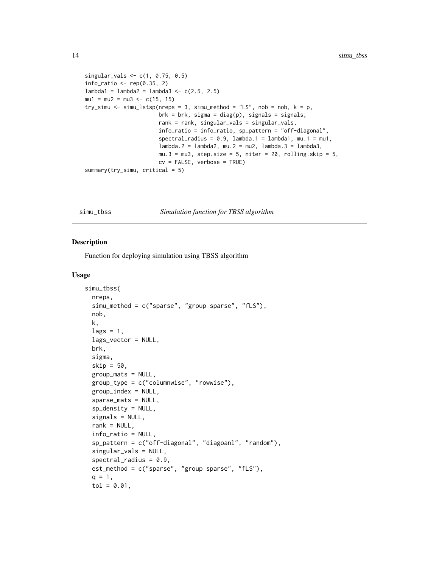```
singular_vals <- c(1, 0.75, 0.5)
info\_ratio \leftarrow rep(0.35, 2)lambda1 = lambda2 = lambda3 < -c(2.5, 2.5)mu1 = mu2 = mu3 \le c(15, 15)try_simu <- simu_lstsp(nreps = 3, simu_method = "LS", nob = nob, k = p,
                       brk = brk, sigma = diag(p), signals = signals,
                       rank = rank, singular_vals = singular_vals,
                       info_ratio = info_ratio, sp_pattern = "off-diagonal",
                       spectral_radius = 0.9, lambda.1 = lambda1, mu.1 = mu1,
                       lambda.2 = lambda2, mu.2 = mu2, lambda.3 = lambda3,
                       mu.3 = mu3, step.size = 5, niter = 20, rolling.skip = 5,
                       cv = FALSE, verbose = TRUE)
summary(try_simu, critical = 5)
```
simu\_tbss *Simulation function for TBSS algorithm*

#### Description

Function for deploying simulation using TBSS algorithm

#### Usage

```
simu_tbss(
  nreps,
  simu_method = c("sparse", "group sparse", "fLS"),
  nob,
  k,
  lags = 1,lags_vector = NULL,
  brk,
  sigma,
  skip = 50,group_mats = NULL,
  group_type = c("columnwise", "rowwise"),
  group\_index = NULL,sparse_mats = NULL,
  sp\_density = NULL,signals = NULL,
  rank = NULL,
  info_ratio = NULL,
  sp_pattern = c("off-diagonal", "diagoanl", "random"),
  singular_vals = NULL,
  spectral_radius = 0.9,
  est_method = c("sparse", "group sparse", "fLS"),
  q = 1,
  tol = 0.01,
```
<span id="page-13-0"></span>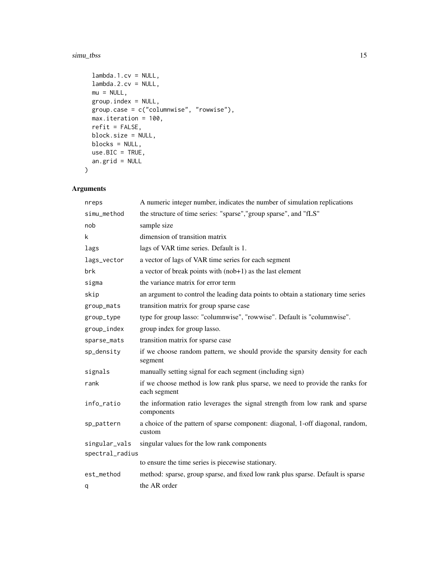#### simu\_tbss 15

```
lambda.1.cv = NULL,
 lambda.2.cv = NULL,
 mu = NULL,group.index = NULL,
 group.case = c("columnwise", "rowwise"),
 max.iteration = 100,
 refit = FALSE,
 block.size = NULL,
 blocks = NULL,
 use.BIC = TRUE,an.grid = NULL
\mathcal{L}
```

| nreps           | A numeric integer number, indicates the number of simulation replications                     |
|-----------------|-----------------------------------------------------------------------------------------------|
| simu_method     | the structure of time series: "sparse", "group sparse", and "fLS"                             |
| nob             | sample size                                                                                   |
| k               | dimension of transition matrix                                                                |
| lags            | lags of VAR time series. Default is 1.                                                        |
| lags_vector     | a vector of lags of VAR time series for each segment                                          |
| brk             | a vector of break points with $(nob+1)$ as the last element                                   |
| sigma           | the variance matrix for error term                                                            |
| skip            | an argument to control the leading data points to obtain a stationary time series             |
| group_mats      | transition matrix for group sparse case                                                       |
| group_type      | type for group lasso: "columnwise", "rowwise". Default is "columnwise".                       |
| group_index     | group index for group lasso.                                                                  |
| sparse_mats     | transition matrix for sparse case                                                             |
| sp_density      | if we choose random pattern, we should provide the sparsity density for each<br>segment       |
| signals         | manually setting signal for each segment (including sign)                                     |
| rank            | if we choose method is low rank plus sparse, we need to provide the ranks for<br>each segment |
| info_ratio      | the information ratio leverages the signal strength from low rank and sparse<br>components    |
| sp_pattern      | a choice of the pattern of sparse component: diagonal, 1-off diagonal, random,<br>custom      |
| singular_vals   | singular values for the low rank components                                                   |
| spectral_radius |                                                                                               |
|                 | to ensure the time series is piecewise stationary.                                            |
| est_method      | method: sparse, group sparse, and fixed low rank plus sparse. Default is sparse               |
| q               | the AR order                                                                                  |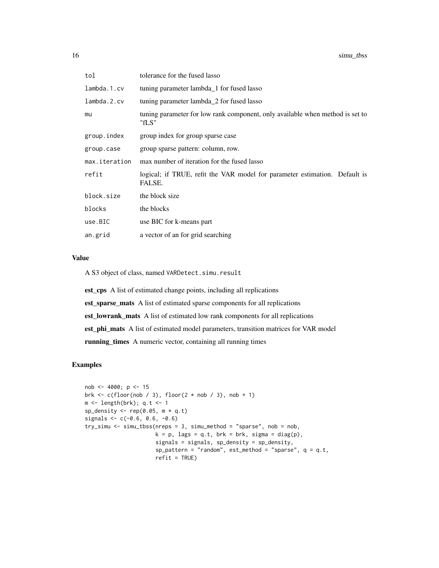| tol           | tolerance for the fused lasso                                                          |
|---------------|----------------------------------------------------------------------------------------|
| lambda.1.cv   | tuning parameter lambda_1 for fused lasso                                              |
| lambda.2.cv   | tuning parameter lambda_2 for fused lasso                                              |
| mu            | tuning parameter for low rank component, only available when method is set to<br>"fLS" |
| group.index   | group index for group sparse case                                                      |
| group.case    | group sparse pattern: column, row.                                                     |
| max.iteration | max number of iteration for the fused lasso                                            |
| refit         | logical; if TRUE, refit the VAR model for parameter estimation. Default is<br>FALSE.   |
| block.size    | the block size                                                                         |
| blocks        | the blocks                                                                             |
| use.BIC       | use BIC for k-means part                                                               |
| an.grid       | a vector of an for grid searching                                                      |
|               |                                                                                        |

A S3 object of class, named VARDetect.simu.result

est\_cps A list of estimated change points, including all replications est\_sparse\_mats A list of estimated sparse components for all replications est\_lowrank\_mats A list of estimated low rank components for all replications est\_phi\_mats A list of estimated model parameters, transition matrices for VAR model running\_times A numeric vector, containing all running times

```
nob <- 4000; p <- 15
brk \leq c(floor(nob / 3), floor(2 \star nob / 3), nob + 1)
m <- length(brk); q.t <- 1
sp_density \leq rep(0.05, m * q.t)
signals <-c(-0.6, 0.6, -0.6)try_simu <- simu_tbss(nreps = 3, simu_method = "sparse", nob = nob,
                      k = p, lags = q.t, brk = brk, sigma = diag(p),
                      signals = signals, sp_density = sp_density,
                      sp\_pattern = "random", est\_method = "sparse", q = q.t,refit = TRUE)
```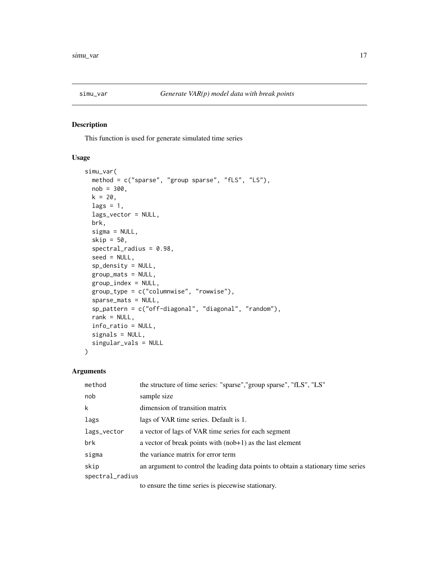<span id="page-16-0"></span>

#### Description

This function is used for generate simulated time series

#### Usage

```
simu_var(
 method = c("sparse", "group sparse", "fLS", "LS"),
 nob = 300,k = 20,
 lags = 1,lags_vector = NULL,
 brk,
  sigma = NULL,
  skip = 50,
  spectral_radius = 0.98,
  seed = NULL,
  sp_density = NULL,
 group_mats = NULL,
 group_index = NULL,
 group_type = c("columnwise", "rowwise"),
  sparse_mats = NULL,
  sp_pattern = c("off-diagonal", "diagonal", "random"),
  rank = NULL,info_ratio = NULL,
 signals = NULL,
  singular_vals = NULL
\mathcal{E}
```
#### Arguments

| method          | the structure of time series: "sparse", "group sparse", "fLS", "LS"               |
|-----------------|-----------------------------------------------------------------------------------|
| nob             | sample size                                                                       |
| k               | dimension of transition matrix                                                    |
| lags            | lags of VAR time series. Default is 1.                                            |
| lags_vector     | a vector of lags of VAR time series for each segment                              |
| brk             | a vector of break points with $(nob+1)$ as the last element                       |
| sigma           | the variance matrix for error term                                                |
| skip            | an argument to control the leading data points to obtain a stationary time series |
| spectral_radius |                                                                                   |
|                 |                                                                                   |

to ensure the time series is piecewise stationary.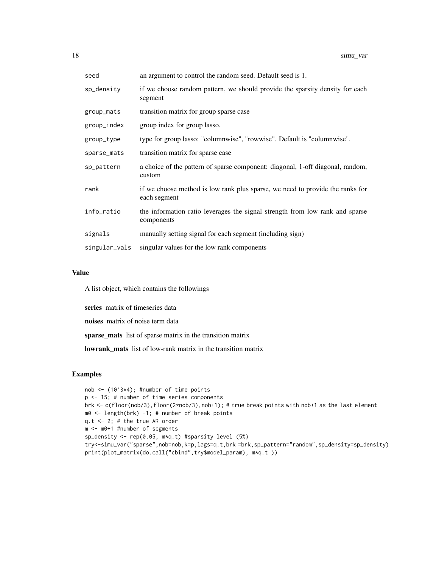| seed          | an argument to control the random seed. Default seed is 1.                                    |
|---------------|-----------------------------------------------------------------------------------------------|
| sp_density    | if we choose random pattern, we should provide the sparsity density for each<br>segment       |
| group_mats    | transition matrix for group sparse case                                                       |
| group_index   | group index for group lasso.                                                                  |
| group_type    | type for group lasso: "columnwise", "rowwise". Default is "columnwise".                       |
| sparse_mats   | transition matrix for sparse case                                                             |
| sp_pattern    | a choice of the pattern of sparse component: diagonal, 1-off diagonal, random,<br>custom      |
| rank          | if we choose method is low rank plus sparse, we need to provide the ranks for<br>each segment |
| info_ratio    | the information ratio leverages the signal strength from low rank and sparse<br>components    |
| signals       | manually setting signal for each segment (including sign)                                     |
| singular_vals | singular values for the low rank components                                                   |

A list object, which contains the followings

series matrix of timeseries data

noises matrix of noise term data

sparse\_mats list of sparse matrix in the transition matrix

lowrank\_mats list of low-rank matrix in the transition matrix

```
nob <- (10^3*4); #number of time points
p <- 15; # number of time series components
brk <- c(floor(nob/3),floor(2*nob/3),nob+1); # true break points with nob+1 as the last element
m0 <- length(brk) -1; # number of break points
q.t <- 2; # the true AR order
m <- m0+1 #number of segments
sp_density <- rep(0.05, m*q.t) #sparsity level (5%)
try<-simu_var("sparse",nob=nob,k=p,lags=q.t,brk =brk,sp_pattern="random",sp_density=sp_density)
print(plot_matrix(do.call("cbind",try$model_param), m*q.t ))
```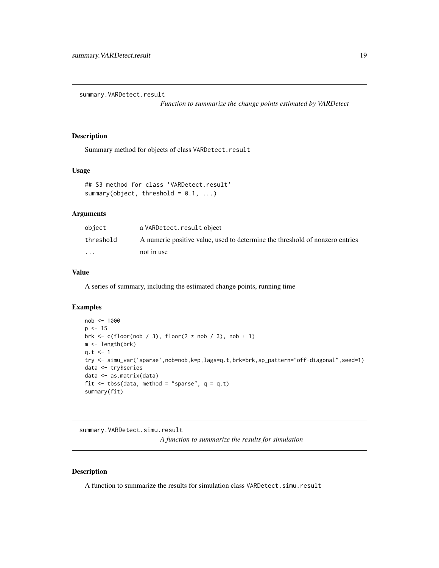<span id="page-18-0"></span>summary.VARDetect.result

*Function to summarize the change points estimated by VARDetect*

#### Description

Summary method for objects of class VARDetect.result

#### Usage

```
## S3 method for class 'VARDetect.result'
summary(object, threshold = 0.1, ...)
```
#### Arguments

| object                  | a VARDetect.result object                                                    |
|-------------------------|------------------------------------------------------------------------------|
| threshold               | A numeric positive value, used to determine the threshold of nonzero entries |
| $\cdot$ $\cdot$ $\cdot$ | not in use                                                                   |

#### Value

A series of summary, including the estimated change points, running time

#### Examples

```
nob <- 1000
p \le -15brk \leq c(floor(nob / 3), floor(2 \star nob / 3), nob + 1)
m <- length(brk)
q.t < -1try <- simu_var('sparse',nob=nob,k=p,lags=q.t,brk=brk,sp_pattern="off-diagonal",seed=1)
data <- try$series
data <- as.matrix(data)
fit \leq tbss(data, method = "sparse", q = q.t)
summary(fit)
```

```
summary.VARDetect.simu.result
                          A function to summarize the results for simulation
```
#### Description

A function to summarize the results for simulation class VARDetect.simu.result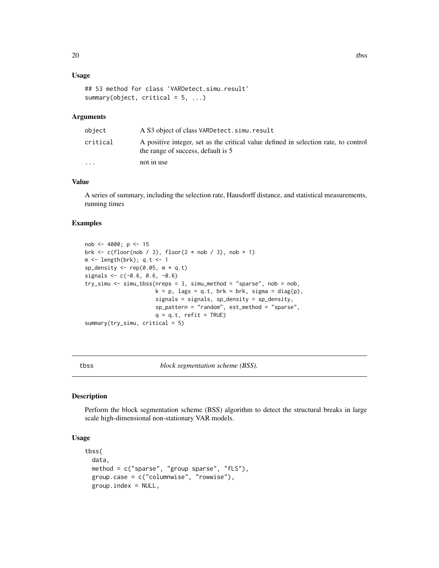#### <span id="page-19-0"></span>Usage

```
## S3 method for class 'VARDetect.simu.result'
summary(object, critical = 5, ...)
```
#### Arguments

| object                  | A S3 object of class VARDetect.simu.result                                                                                |
|-------------------------|---------------------------------------------------------------------------------------------------------------------------|
| critical                | A positive integer, set as the critical value defined in selection rate, to control<br>the range of success, default is 5 |
| $\cdot$ $\cdot$ $\cdot$ | not in use                                                                                                                |

#### Value

A series of summary, including the selection rate, Hausdorff distance, and statistical measurements, running times

#### Examples

```
nob <- 4000; p <- 15
brk <- c(floor(nob / 3), floor(2 * nob / 3), nob + 1)
m <- length(brk); q.t <- 1
sp_density \leq rep(0.05, m * q.t)
signals <- c(-0.6, 0.6, -0.6)
try_simu <- simu_tbss(nreps = 3, simu_method = "sparse", nob = nob,
                      k = p, lags = q.t, brk = brk, sigma = diag(p),
                      signals = signals, sp_density = sp_density,
                      sp_pattern = "random", est_method = "sparse",
                      q = q.t, refit = TRUE)
summary(try_simu, critical = 5)
```
tbss *block segmentation scheme (BSS).*

#### Description

Perform the block segmentation scheme (BSS) algorithm to detect the structural breaks in large scale high-dimensional non-stationary VAR models.

#### Usage

```
tbss(
 data,
 method = c("sparse", "group sparse", "fLS"),
 group.case = c("columnwise", "rowwise"),
 group.index = NULL,
```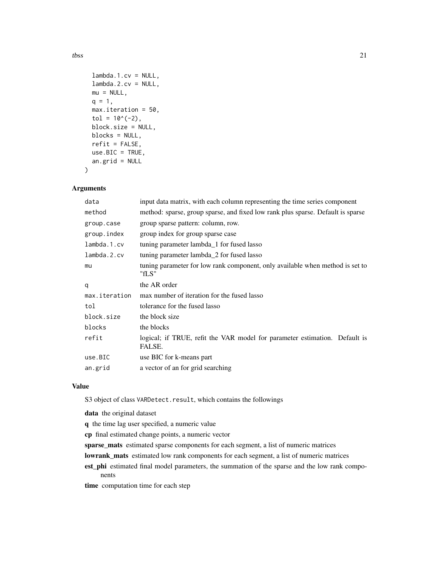```
lambda.1.cv = NULL,lambda.2.cv = NULL,mu = NULL,q = 1,
 max.iteration = 50,
  tol = 10^(-2),
 block.size = NULL,
 blocks = NULL,
  refit = FALSE,use.BIC = TRUE,an.grid = NULL
\mathcal{L}
```
#### Arguments

| data          | input data matrix, with each column representing the time series component             |
|---------------|----------------------------------------------------------------------------------------|
| method        | method: sparse, group sparse, and fixed low rank plus sparse. Default is sparse        |
| group.case    | group sparse pattern: column, row.                                                     |
| group.index   | group index for group sparse case                                                      |
| lambda.1.cv   | tuning parameter lambda_1 for fused lasso                                              |
| lambda.2.cv   | tuning parameter lambda_2 for fused lasso                                              |
| mu            | tuning parameter for low rank component, only available when method is set to<br>"fLS" |
| q             | the AR order                                                                           |
| max.iteration | max number of iteration for the fused lasso                                            |
| tol           | tolerance for the fused lasso                                                          |
| block.size    | the block size                                                                         |
| blocks        | the blocks                                                                             |
| refit         | logical; if TRUE, refit the VAR model for parameter estimation. Default is<br>FALSE.   |
| use.BIC       | use BIC for k-means part                                                               |
| an.grid       | a vector of an for grid searching                                                      |

#### Value

S3 object of class VARDetect.result, which contains the followings

data the original dataset

q the time lag user specified, a numeric value

cp final estimated change points, a numeric vector

sparse\_mats estimated sparse components for each segment, a list of numeric matrices

- lowrank\_mats estimated low rank components for each segment, a list of numeric matrices
- est\_phi estimated final model parameters, the summation of the sparse and the low rank components

time computation time for each step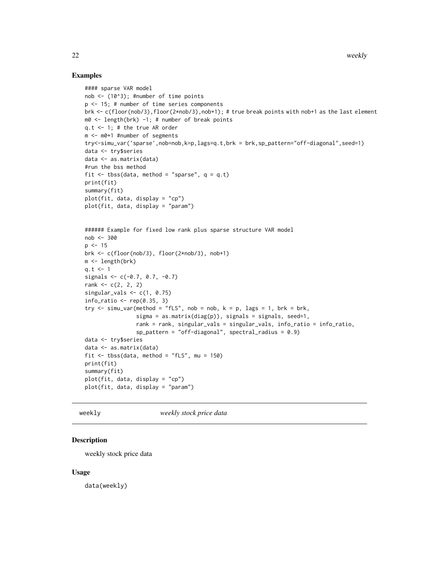#### <span id="page-21-0"></span>Examples

```
#### sparse VAR model
nob <- (10^3); #number of time points
p <- 15; # number of time series components
brk <- c(floor(nob/3),floor(2*nob/3),nob+1); # true break points with nob+1 as the last element
m0 \leq -\text{length}(brk) -1; # number of break points
q.t <- 1; # the true AR order
m <- m0+1 #number of segments
try<-simu_var('sparse',nob=nob,k=p,lags=q.t,brk = brk,sp_pattern="off-diagonal",seed=1)
data <- try$series
data <- as.matrix(data)
#run the bss method
fit \leq tbss(data, method = "sparse", q = q.t)
print(fit)
summary(fit)
plot(fit, data, display = "cp")
plot(fit, data, display = "param")
###### Example for fixed low rank plus sparse structure VAR model
nob <- 300
p \le -15brk <- c(floor(nob/3), floor(2*nob/3), nob+1)
m <- length(brk)
q.t < -1signals <-c(-0.7, 0.7, -0.7)rank <-c(2, 2, 2)singular_vals \leq c(1, 0.75)
info_ratio \leq rep(0.35, 3)
try \le simu_var(method = "fLS", nob = nob, k = p, lags = 1, brk = brk,
                sigma = as.matrix(diag(p)), signs = signals, seed=1,rank = rank, singular_vals = singular_vals, info_ratio = info_ratio,
                sp\_pattern = "off-diagonal", spectral\_radius = 0.9)data <- try$series
data <- as.matrix(data)
fit \le tbss(data, method = "fLS", mu = 150)
print(fit)
summary(fit)
plot(fit, data, display = "cp")
plot(fit, data, display = "param")
```
weekly *weekly stock price data*

#### Description

weekly stock price data

#### Usage

data(weekly)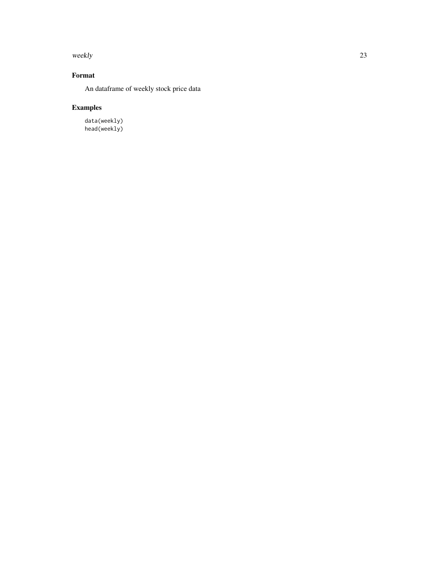weekly 23

### Format

An dataframe of weekly stock price data

## Examples

data(weekly) head(weekly)